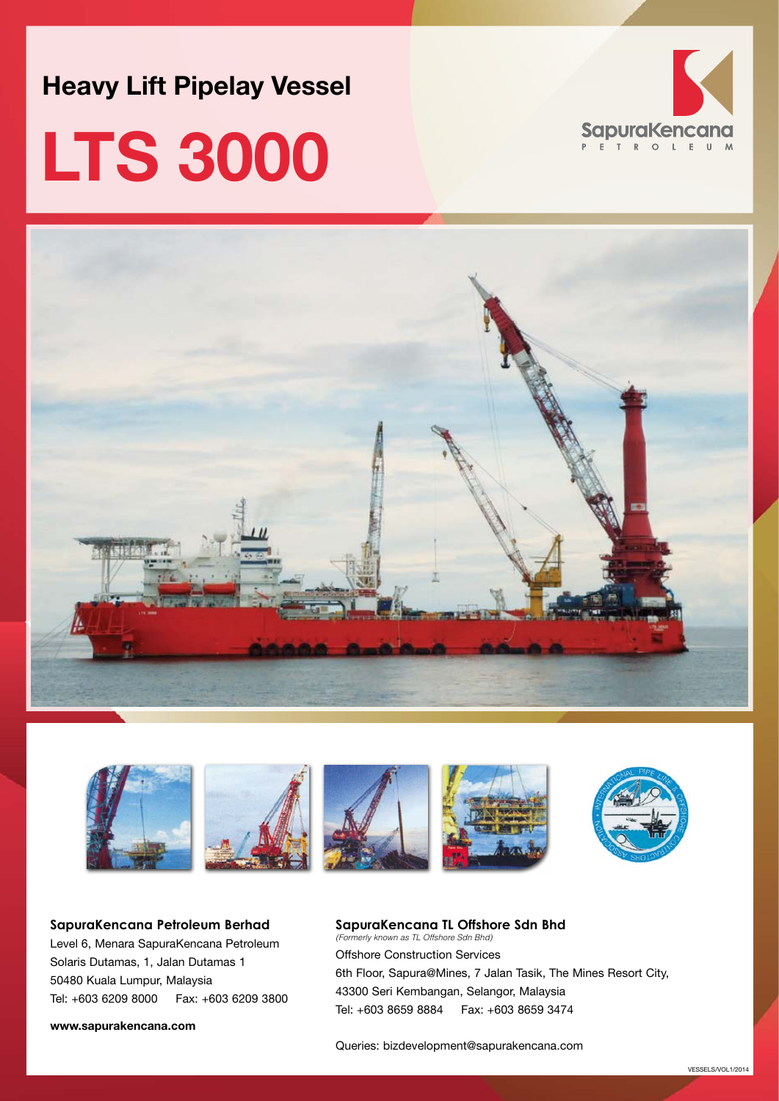**Heavy Lift Pipelay Vessel**

# **LTS 3000**







**SapuraKencana Petroleum Berhad** Level 6, Menara SapuraKencana Petroleum Solaris Dutamas, 1, Jalan Dutamas 1 50480 Kuala Lumpur, Malaysia Tel: +603 6209 8000 Fax: +603 6209 3800

**www.sapurakencana.com**

### **SapuraKencana TL Offshore Sdn Bhd** *(Formerly known as TL Offshore Sdn Bhd)*

Offshore Construction Services 6th Floor, Sapura@Mines, 7 Jalan Tasik, The Mines Resort City, 43300 Seri Kembangan, Selangor, Malaysia Tel: +603 8659 8884 Fax: +603 8659 3474

Queries: bizdevelopment@sapurakencana.com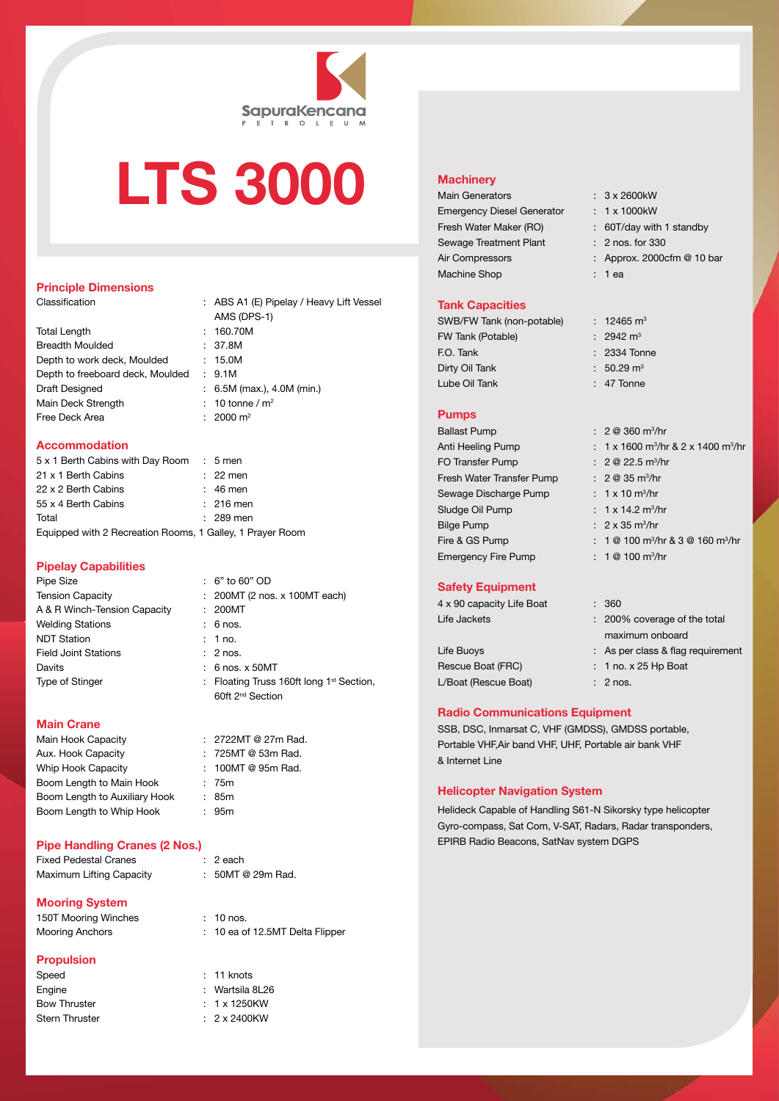

### **LTS 3000**

#### **Principle Dimensions**

| Total Length                     |
|----------------------------------|
| Breadth Moulded                  |
| Depth to work deck, Moulded      |
| Depth to freeboard deck, Moulded |
| Draft Designed                   |
| Main Deck Strength               |
| Free Deck Area                   |

Classification : ABS A1 (E) Pipelay / Heavy Lift Vessel AMS (DPS-1)  $: 160.70M$  $: 37.8M$  $: 15.0M$  $: 9.1M$  $\colon$  6.5M (max.), 4.0M (min.) : 10 tonne /  $m<sup>2</sup>$  $\cdot$  2000 m<sup>2</sup>

#### **Accommodation**

| 5 x 1 Berth Cabins with Day Room : 5 men                  |             |
|-----------------------------------------------------------|-------------|
| 21 x 1 Berth Cabins                                       | $: 22$ men  |
| 22 x 2 Berth Cabins                                       | $: 46$ men  |
| 55 x 4 Berth Cabins                                       | $: 216$ men |
| Total                                                     | $: 289$ men |
| Equipped with 2 Recreation Rooms, 1 Galley, 1 Prayer Room |             |

#### **Pipelay Capabilities**

| Pipe Size                    | $: 6"$ to 60" OD                                     |
|------------------------------|------------------------------------------------------|
| <b>Tension Capacity</b>      | : 200MT (2 nos. x 100MT each)                        |
| A & R Winch-Tension Capacity | : 200MT                                              |
| Welding Stations             | $: 6$ nos.                                           |
| <b>NDT Station</b>           | : 1 no.                                              |
| <b>Field Joint Stations</b>  | $: 2$ nos.                                           |
| Davits                       | $: 6$ nos. $\times$ 50MT                             |
| Type of Stinger              | : Floating Truss 160ft long 1 <sup>st</sup> Section, |
|                              | 60ft 2 <sup>nd</sup> Section                         |

#### **Main Crane**

Main Hook Capacity : 2722MT @ 27m Rad. Aux. Hook Capacity : 725MT @ 53m Rad. Whip Hook Capacity : 100MT @ 95m Rad. Boom Length to Main Hook : 75m Boom Length to Auxiliary Hook : 85m Boom Length to Whip Hook : 95m

#### **Pipe Handling Cranes (2 Nos.)**

Fixed Pedestal Cranes : 2 each Maximum Lifting Capacity : 50MT @ 29m Rad.

#### **Mooring System**

150T Mooring Winches : 10 nos. Mooring Anchors : 10 ea of 12.5MT Delta Flipper

#### **Propulsion**

| Speed          |
|----------------|
| Engine         |
| Bow Thruster   |
| Stern Thruster |

- 
- 
- 
- 

: 11 knots : Wartsila 8L26  $: 1 x 1250KW$  $: 2 \times 2400$ KW

Machine Shop : 1 ea

#### **Tank Capacities**

**Machinery**

| SWB/FW Tank (non-potable) |  |
|---------------------------|--|
| FW Tank (Potable)         |  |
| F.O. Tank                 |  |
| Dirty Oil Tank            |  |
| Lube Oil Tank             |  |

Main Generators : 3 x 2600kW Emergency Diesel Generator : 1 x 1000kW

Fresh Water Maker (RO) : 60T/day with 1 standby Sewage Treatment Plant : 2 nos. for 330

Air Compressors : Approx. 2000cfm @ 10 bar

 $: 12465 \text{ m}^3$  $\cdot$  2942 m<sup>3</sup> : 2334 Tonne  $\pm 50.29$  m<sup>3</sup>  $: 47$  Tonne

/hr

#### **Pumps**

| <b>Ballast Pump</b>        | $: 2@360 \text{ m}^3/\text{hr}$                            |
|----------------------------|------------------------------------------------------------|
| Anti Heeling Pump          | : 1 x 1600 m <sup>3</sup> /hr & 2 x 1400 m <sup>3</sup> /h |
| <b>FO Transfer Pump</b>    | : $2 \otimes 22.5$ m <sup>3</sup> /hr                      |
| Fresh Water Transfer Pump  | : $2 \otimes 35 \text{ m}^3/\text{hr}$                     |
| Sewage Discharge Pump      | : $1 \times 10 \text{ m}^3/\text{hr}$                      |
| Sludge Oil Pump            | : $1 \times 14.2$ m <sup>3</sup> /hr                       |
| <b>Bilge Pump</b>          | $: 2 \times 35$ m <sup>3</sup> /hr                         |
| Fire & GS Pump             | : $1@100$ m <sup>3</sup> /hr & $3@160$ m <sup>3</sup> /hr  |
| <b>Emergency Fire Pump</b> | $: 1@100 \text{ m}^3/\text{hr}$                            |

#### **Safety Equipment**

| 4 x 90 capacity Life Boat | : 360                             |
|---------------------------|-----------------------------------|
| Life Jackets              | : 200% coverage of the total      |
|                           | maximum onboard                   |
| Life Buoys                | : As per class & flag requirement |
| Rescue Boat (FRC)         | $: 1$ no. x 25 Hp Boat            |
| L/Boat (Rescue Boat)      | $: 2$ nos.                        |
|                           |                                   |
|                           |                                   |

#### **Radio Communications Equipment**

SSB, DSC, Inmarsat C, VHF (GMDSS), GMDSS portable, Portable VHF,Air band VHF, UHF, Portable air bank VHF & Internet Line

#### **Helicopter Navigation System**

Helideck Capable of Handling S61-N Sikorsky type helicopter Gyro-compass, Sat Com, V-SAT, Radars, Radar transponders, EPIRB Radio Beacons, SatNav system DGPS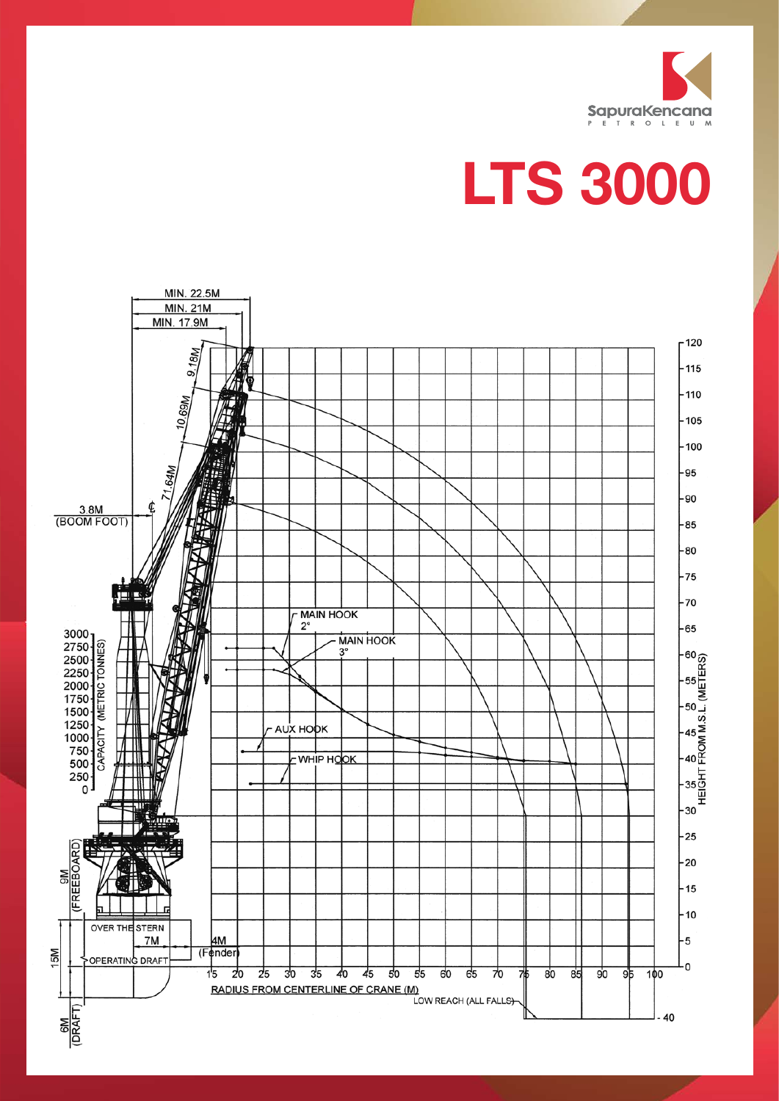